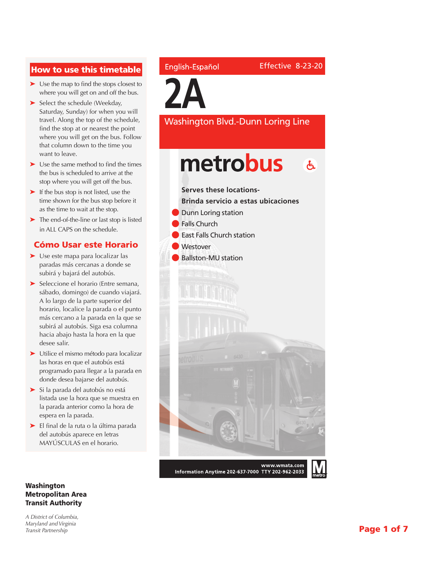## How to use this timetable

- ➤ Use the map to find the stops closest to where you will get on and off the bus.
- ➤ Select the schedule (Weekday, Saturday, Sunday) for when you will travel. Along the top of the schedule, find the stop at or nearest the point where you will get on the bus. Follow that column down to the time you want to leave.
- ➤ Use the same method to find the times the bus is scheduled to arrive at the stop where you will get off the bus.
- ➤ If the bus stop is not listed, use the time shown for the bus stop before it as the time to wait at the stop.
- ➤ The end-of-the-line or last stop is listed in ALL CAPS on the schedule.

## Cómo Usar este Horario

- ➤ Use este mapa para localizar las paradas más cercanas a donde se subirá y bajará del autobús.
- ➤ Seleccione el horario (Entre semana, sábado, domingo) de cuando viajará. A lo largo de la parte superior del horario, localice la parada o el punto más cercano a la parada en la que se subirá al autobús. Siga esa columna hacia abajo hasta la hora en la que desee salir.
- ➤ Utilice el mismo método para localizar las horas en que el autobús está programado para llegar a la parada en donde desea bajarse del autobús.
- ➤ Si la parada del autobús no está listada use la hora que se muestra en la parada anterior como la hora de espera en la parada.
- ➤ El final de la ruta o la última parada del autobús aparece en letras MAYÚSCULAS en el horario.

#### Washington Metropolitan Area Transit Authority

*A District of Columbia, Maryland and Virginia Transit Partnership*

### English-Español

**2A**

Washington Blvd.-Dunn Loring Line

# metrobus  $\mathbf{A}$

**Serves these locations-**

- **Brinda servicio a estas ubicaciones**
- **Dunn Loring station**
- **Falls Church**
- **East Falls Church station**
- **Westover**
- **Ballston-MU station**



www.wmata.com Information Anytime 202-637-7000 TTY 202-962-2033

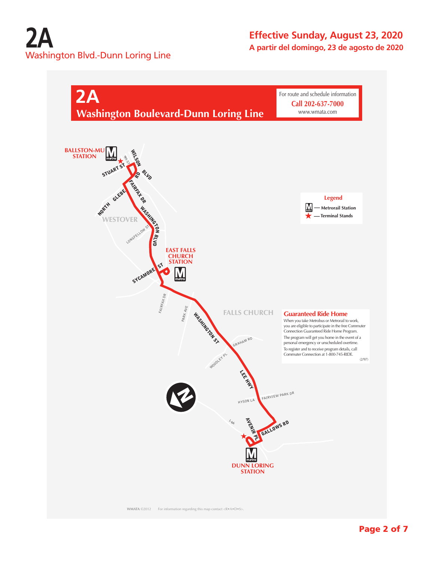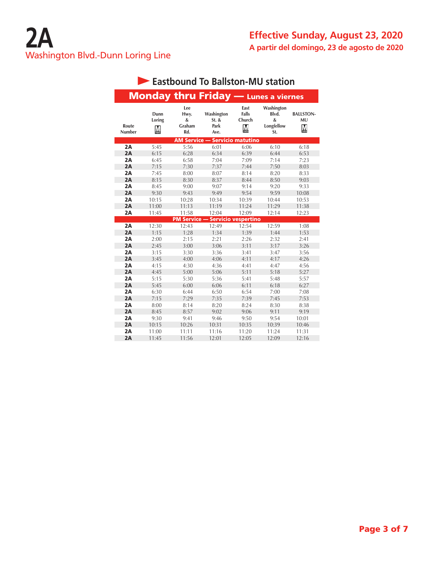|                 |                     |                                   | <b>Monday thru Friday - Lunes a viernes</b> |                              |                                                                        |                                    |
|-----------------|---------------------|-----------------------------------|---------------------------------------------|------------------------------|------------------------------------------------------------------------|------------------------------------|
| Route<br>Number | Dunn<br>Loring<br>M | Lee<br>Hwy.<br>&<br>Graham<br>Rd. | Washington<br>$St.$ &<br>Park<br>Ave.       | East<br>Falls<br>Church<br>M | Washington<br>Blvd.<br>$\boldsymbol{\mathcal{S}}$<br>Longfellow<br>St. | <b>BALLSTON-</b><br><b>MU</b><br>М |
|                 |                     | <b>AM Service —</b>               |                                             | <b>Servicio matutino</b>     |                                                                        |                                    |
| 2A              | 5:45                | 5:56                              | 6:01                                        | 6:06                         | 6:10                                                                   | 6:18                               |
| 2A              | 6:15                | 6:28                              | 6:34                                        | 6:39                         | 6:44                                                                   | 6:53                               |
| 2A              | 6:45                | 6:58                              | 7:04                                        | 7:09                         | 7:14                                                                   | 7:23                               |
| 2A              | 7:15                | 7:30                              | 7:37                                        | 7:44                         | 7:50                                                                   | 8:03                               |
| 2A              | 7:45                | 8:00                              | 8:07                                        | 8:14                         | 8:20                                                                   | 8:33                               |
| 2A              | 8:15                | 8:30                              | 8:37                                        | 8:44                         | 8:50                                                                   | 9:03                               |
| 2A              | 8:45                | 9:00                              | 9:07                                        | 9:14                         | 9:20                                                                   | 9:33                               |
| 2A              | 9:30                | 9:43                              | 9:49                                        | 9:54                         | 9:59                                                                   | 10:08                              |
| 2A              | 10:15               | 10:28                             | 10:34                                       | 10:39                        | 10:44                                                                  | 10:53                              |
| 2A              | 11:00               | 11:13                             | 11:19                                       | 11:24                        | 11:29                                                                  | 11:38                              |
| 2A              | 11:45               | 11:58                             | 12:04                                       | 12:09                        | 12:14                                                                  | 12:23                              |
|                 |                     | <b>PM Service -</b>               | <b>Servicio vespertino</b>                  |                              |                                                                        |                                    |
| 2A              | 12:30               | 12:43                             | 12:49                                       | 12:54                        | 12:59                                                                  | 1:08                               |
| 2A              | 1:15                | 1:28                              | 1:34                                        | 1:39                         | 1:44                                                                   | 1:53                               |
| 2A              | 2:00                | 2:15                              | 2:21                                        | 2:26                         | 2:32                                                                   | 2:41                               |
| 2A              | 2:45                | 3:00                              | 3:06                                        | 3:11                         | 3:17                                                                   | 3:26                               |
| 2A              | 3:15                | 3:30                              | 3:36                                        | 3:41                         | 3:47                                                                   | 3:56                               |
| 2A              | 3:45                | 4:00                              | 4:06                                        | 4:11                         | 4:17                                                                   | 4:26                               |
| 2A              | 4:15                | 4:30                              | 4:36                                        | 4:41                         | 4:47                                                                   | 4:56                               |
| 2A              | 4:45                | 5:00                              | 5:06                                        | 5:11                         | 5:18                                                                   | 5:27                               |
| 2A              | 5:15                | 5:30                              | 5:36                                        | 5:41                         | 5:48                                                                   | 5:57                               |
| 2A              | 5:45                | 6:00                              | 6:06                                        | 6:11                         | 6:18                                                                   | 6:27                               |
| 2A              | 6:30                | 6:44                              | 6:50                                        | 6:54                         | 7:00                                                                   | 7:08                               |
| 2A              | 7:15                | 7:29                              | 7:35                                        | 7:39                         | 7:45                                                                   | 7:53                               |
| 2A              | 8:00                | 8:14                              | 8:20                                        | 8:24                         | 8:30                                                                   | 8:38                               |
| 2A              | 8:45                | 8:57                              | 9:02                                        | 9:06                         | 9:11                                                                   | 9:19                               |
| 2A              | 9:30                | 9:41                              | 9:46                                        | 9:50                         | 9:54                                                                   | 10:01                              |
| 2A              | 10:15               | 10:26                             | 10:31                                       | 10:35                        | 10:39                                                                  | 10:46                              |
| 2A              | 11:00               | 11:11                             | 11:16                                       | 11:20                        | 11:24                                                                  | 11:31                              |
| 2A              | 11:45               | 11:56                             | 12:01                                       | 12:05                        | 12:09                                                                  | 12:16                              |

# **Eastbound To Ballston-MU station**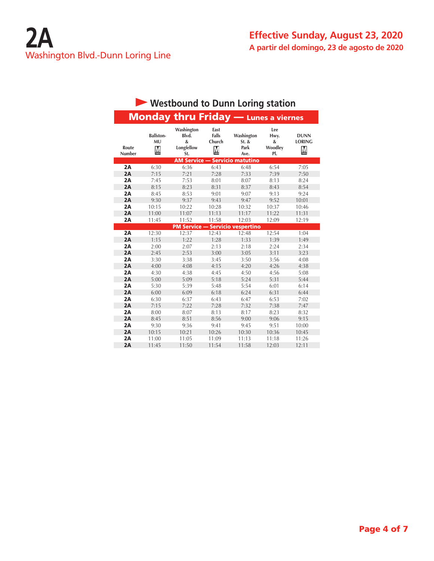|                        |                             | Westbound to Dunn Loring station              |                              |                                         |                                    |                                   |
|------------------------|-----------------------------|-----------------------------------------------|------------------------------|-----------------------------------------|------------------------------------|-----------------------------------|
|                        |                             | <b>Monday thru Friday - Lunes a viernes</b>   |                              |                                         |                                    |                                   |
| Route<br><b>Number</b> | <b>Ballston-</b><br>MU<br>M | Washington<br>Blvd.<br>&<br>Longfellow<br>St. | East<br>Falls<br>Church<br>M | Washington<br>$St.$ &<br>Park<br>Ave.   | Lee<br>Hwy.<br>&<br>Woodley<br>PI. | <b>DUNN</b><br><b>LORING</b><br>M |
|                        |                             |                                               |                              | <b>AM Service - Servicio matutino</b>   |                                    |                                   |
| 2A                     | 6:30                        | 6:36                                          | 6:43                         | 6:48                                    | 6:54                               | 7:05                              |
| 2A                     | 7:15                        | 7:21                                          | 7:28                         | 7:33                                    | 7:39                               | 7:50                              |
| 2A                     | 7:45                        | 7:53                                          | 8:01                         | 8:07                                    | 8:13                               | 8:24                              |
| 2A                     | 8:15                        | 8:23                                          | 8:31                         | 8:37                                    | 8:43                               | 8:54                              |
| 2A                     | 8:45                        | 8:53                                          | 9:01                         | 9:07                                    | 9:13                               | 9:24                              |
| 2A                     | 9:30                        | 9:37                                          | 9:43                         | 9:47                                    | 9:52                               | 10:01                             |
| 2A                     | 10:15                       | 10:22                                         | 10:28                        | 10:32                                   | 10:37                              | 10:46                             |
| 2A                     | 11:00                       | 11:07                                         | 11:13                        | 11:17                                   | 11:22                              | 11:31                             |
| 2A                     | 11:45                       | 11:52                                         | 11:58                        | 12:03                                   | 12:09                              | 12:19                             |
|                        |                             |                                               |                              | <b>PM Service - Servicio vespertino</b> |                                    |                                   |
| 2A                     | 12:30                       | 12:37                                         | 12:43                        | 12:48                                   | 12:54                              | 1:04                              |
| 2A                     | 1:15                        | 1:22                                          | 1:28                         | 1:33                                    | 1:39                               | 1:49                              |
| 2A                     | 2:00                        | 2:07                                          | 2:13                         | 2:18                                    | 2:24                               | 2:34                              |
| 2A                     | 2:45                        | 2:53                                          | 3:00                         | 3:05                                    | 3:11                               | 3:23                              |
| 2A                     | 3:30                        | 3:38                                          | 3:45                         | 3:50                                    | 3:56                               | 4:08                              |
| 2A                     | 4:00                        | 4:08                                          | 4:15                         | 4:20                                    | 4:26                               | 4:38                              |
| 2A                     | 4:30                        | 4:38                                          | 4:45                         | 4:50                                    | 4:56                               | 5:08                              |
| 2A                     | 5:00                        | 5:09                                          | 5:18                         | 5:24                                    | 5:31                               | 5:44                              |
| 2A                     | 5:30                        | 5:39                                          | 5:48                         | 5:54                                    | 6:01                               | 6:14                              |
| 2A                     | 6:00                        | 6:09                                          | 6:18                         | 6:24                                    | 6:31                               | 6:44                              |
| 2A                     | 6:30                        | 6:37                                          | 6:43                         | 6:47                                    | 6:53                               | 7:02                              |
| 2A                     | 7:15                        | 7:22                                          | 7:28                         | 7:32                                    | 7:38                               | 7:47                              |
| 2A                     | 8:00                        | 8:07                                          | 8:13                         | 8:17                                    | 8:23                               | 8:32                              |
| 2A                     | 8:45                        | 8:51                                          | 8:56                         | 9:00                                    | 9:06                               | 9:15                              |
| 2A                     | 9:30                        | 9:36                                          | 9:41                         | 9:45                                    | 9:51                               | 10:00                             |
| 2A                     | 10:15                       | 10:21                                         | 10:26                        | 10:30                                   | 10:36                              | 10:45                             |
| 2A                     | 11:00                       | 11:05                                         | 11:09                        | 11:13                                   | 11:18                              | 11:26                             |
| 2A                     | 11:45                       | 11:50                                         | 11:54                        | 11:58                                   | 12:03                              | 12:11                             |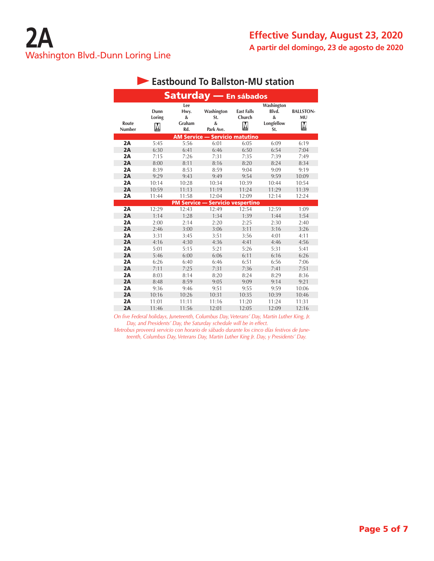|                        |                     |                                   | Saturday - En sábados                                        |                                  |                                               |                                    |
|------------------------|---------------------|-----------------------------------|--------------------------------------------------------------|----------------------------------|-----------------------------------------------|------------------------------------|
| Route<br><b>Number</b> | Dunn<br>Loring<br>М | Lee<br>Hwy.<br>&<br>Graham<br>Rd. | Washington<br>St.<br>$\boldsymbol{\mathcal{S}}$<br>Park Ave. | <b>East Falls</b><br>Church<br>M | Washington<br>Blvd.<br>&<br>Longfellow<br>St. | <b>BALLSTON-</b><br><b>MU</b><br>M |
|                        |                     |                                   | <b>AM Service - Servicio matutino</b>                        |                                  |                                               |                                    |
| 2A                     | 5:45                | 5:56                              | 6:01                                                         | 6:05                             | 6:09                                          | 6:19                               |
| 2A                     | 6:30                | 6:41                              | 6:46                                                         | 6:50                             | 6:54                                          | 7:04                               |
| 2A                     | 7:15                | 7:26                              | 7:31                                                         | 7:35                             | 7:39                                          | 7:49                               |
| 2A                     | 8:00                | 8:11                              | 8:16                                                         | 8:20                             | 8:24                                          | 8:34                               |
| 2A                     | 8:39                | 8:53                              | 8:59                                                         | 9:04                             | 9:09                                          | 9:19                               |
| 2A                     | 9:29                | 9:43                              | 9:49                                                         | 9:54                             | 9:59                                          | 10:09                              |
| 2A                     | 10:14               | 10:28                             | 10:34                                                        | 10:39                            | 10:44                                         | 10:54                              |
| 2A                     | 10:59               | 11:13                             | 11:19                                                        | 11:24                            | 11:29                                         | 11:39                              |
| 2A                     | 11:44               | 11:58                             | 12:04                                                        | 12:09                            | 12:14                                         | 12:24                              |
|                        |                     | <b>PM Service -</b>               |                                                              | <b>Servicio vespertino</b>       |                                               |                                    |
| 2A                     | 12:29               | 12:43                             | 12:49                                                        | 12:54                            | 12:59                                         | 1:09                               |
| 2A                     | 1:14                | 1:28                              | 1:34                                                         | 1:39                             | 1:44                                          | 1:54                               |
| 2A                     | 2:00                | 2:14                              | 2:20                                                         | 2:25                             | 2:30                                          | 2:40                               |
| 2A                     | 2:46                | 3:00                              | 3:06                                                         | 3:11                             | 3:16                                          | 3:26                               |
| 2A                     | 3:31                | 3:45                              | 3:51                                                         | 3:56                             | 4:01                                          | 4:11                               |
| 2A                     | 4:16                | 4:30                              | 4:36                                                         | 4:41                             | 4:46                                          | 4:56                               |
| 2A                     | 5:01                | 5:15                              | 5:21                                                         | 5:26                             | 5:31                                          | 5:41                               |
| 2A                     | 5:46                | 6:00                              | 6:06                                                         | 6:11                             | 6:16                                          | 6:26                               |
| 2A                     | 6:26                | 6:40                              | 6:46                                                         | 6:51                             | 6:56                                          | 7:06                               |
| 2A                     | 7:11                | 7:25                              | 7:31                                                         | 7:36                             | 7:41                                          | 7:51                               |
| 2A                     | 8:03                | 8:14                              | 8:20                                                         | 8:24                             | 8:29                                          | 8:36                               |
| 2A                     | 8:48                | 8:59                              | 9:05                                                         | 9:09                             | 9:14                                          | 9:21                               |
| 2A                     | 9:36                | 9:46                              | 9:51                                                         | 9:55                             | 9:59                                          | 10:06                              |
| 2A                     | 10:16               | 10:26                             | 10:31                                                        | 10:35                            | 10:39                                         | 10:46                              |
| 2A                     | 11:01               | 11:11                             | 11:16                                                        | 11:20                            | 11:24                                         | 11:31                              |
| 2A                     | 11:46               | 11:56                             | 12:01                                                        | 12:05                            | 12:09                                         | 12:16                              |

# **Eastbound To Ballston-MU station**

*On five Federal holidays, Juneteenth, Columbus Day, Veterans' Day, Martin Luther King, Jr. Day, and Presidents' Day, the Saturday schedule will be in effect.*

*Metrobus proveerá servicio con horario de sábado durante los cinco días festivos de Juneteenth, Columbus Day, Veterans Day, Martin Luther King Jr. Day, y Presidents' Day.*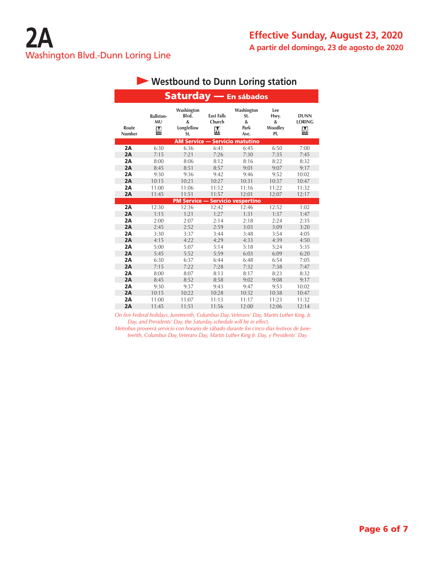|                        |                                    | Saturday - En sábados                                                  |                                  |                                                                 |                                    |                                   |
|------------------------|------------------------------------|------------------------------------------------------------------------|----------------------------------|-----------------------------------------------------------------|------------------------------------|-----------------------------------|
| Route<br><b>Number</b> | <b>Ballston-</b><br><b>MU</b><br>M | Washington<br>Blvd.<br>$\boldsymbol{\mathcal{S}}$<br>Longfellow<br>St. | <b>East Falls</b><br>Church<br>M | Washington<br>St.<br>$\boldsymbol{\mathcal{S}}$<br>Park<br>Ave. | Lee<br>Hwy.<br>&<br>Woodley<br>PI. | <b>DUNN</b><br><b>LORING</b><br>M |
|                        |                                    | <b>AM Service - Servicio matutino</b>                                  |                                  |                                                                 |                                    |                                   |
| 2A                     | 6:30                               | 6:36                                                                   | 6:41                             | 6:45                                                            | 6:50                               | 7:00                              |
| 2A                     | 7:15                               | 7:21                                                                   | 7:26                             | 7:30                                                            | 7:35                               | 7:45                              |
| 2A                     | 8:00                               | 8:06                                                                   | 8:12                             | 8:16                                                            | 8:22                               | 8:32                              |
| 2A                     | 8:45                               | 8:51                                                                   | 8:57                             | 9:01                                                            | 9:07                               | 9:17                              |
| 2A                     | 9:30                               | 9:36                                                                   | 9:42                             | 9:46                                                            | 9:52                               | 10:02                             |
| 2A                     | 10:15                              | 10:21                                                                  | 10:27                            | 10:31                                                           | 10:37                              | 10:47                             |
| 2A                     | 11:00                              | 11:06                                                                  | 11:12                            | 11:16                                                           | 11:22                              | 11:32                             |
| 2A                     | 11:45                              | 11:51                                                                  | 11:57                            | 12:01                                                           | 12:07                              | 12:17                             |
|                        |                                    | <b>PM Service --</b>                                                   |                                  | <b>Servicio vespertino</b>                                      |                                    |                                   |
| 2A                     | 12:30                              | 12:36                                                                  | 12:42                            | 12:46                                                           | 12:52                              | 1:02                              |
| 2A                     | 1:15                               | 1:21                                                                   | 1:27                             | 1:31                                                            | 1:37                               | 1:47                              |
| 2A                     | 2:00                               | 2:07                                                                   | 2:14                             | 2:18                                                            | 2:24                               | 2:35                              |
| 2A                     | 2:45                               | 2:52                                                                   | 2:59                             | 3:03                                                            | 3:09                               | 3:20                              |
| 2A                     | 3:30                               | 3:37                                                                   | 3:44                             | 3:54<br>3:48                                                    |                                    | 4:05                              |
| 2A                     | 4:15                               | 4:22                                                                   | 4:29                             | 4:33                                                            | 4:39                               | 4:50                              |
| 2A                     | 5:00                               | 5:07                                                                   | 5:14                             | 5:18                                                            | 5:24                               | 5:35                              |
| 2A                     | 5:45                               | 5:52                                                                   | 5:59                             | 6:03                                                            | 6:09                               | 6:20                              |
| 2A                     | 6:30                               | 6:37                                                                   | 6:44                             | 6:48                                                            | 6:54                               | 7:05                              |
| 2A                     | 7:15                               | 7:22                                                                   | 7:28                             | 7:32                                                            | 7:38                               | 7:47                              |
| 2A                     | 8:00                               | 8:07                                                                   | 8:13                             | 8:17                                                            | 8:23                               | 8:32                              |
| 2A                     | 8:45                               | 8:52                                                                   | 8:58                             | 9:02                                                            | 9:08                               | 9:17                              |
| 2A                     | 9:30                               | 9:37                                                                   | 9:43                             | 9:47                                                            | 9:53                               | 10:02                             |
| 2A                     | 10:15                              | 10:22                                                                  | 10:28                            | 10:32                                                           | 10:38                              | 10:47                             |
| 2A                     | 11:00                              | 11:07                                                                  | 11:13                            | 11:17                                                           | 11:23                              | 11:32                             |
| 2A                     | 11:45                              | 11:51                                                                  | 11:56                            | 12:00                                                           | 12:06                              | 12:14                             |

# **Westbound to Dunn Loring station**

*On five Federal holidays, Juneteenth, Columbus Day, Veterans' Day, Martin Luther King, Jr. Day, and Presidents' Day, the Saturday schedule will be in effect.*

*Metrobus proveerá servicio con horario de sábado durante los cinco días festivos de Juneteenth, Columbus Day, Veterans Day, Martin Luther King Jr. Day, y Presidents' Day.*